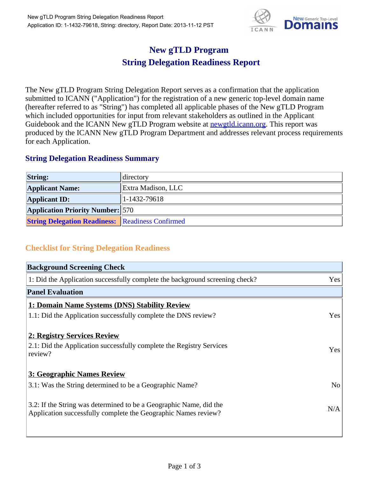

## **New gTLD Program String Delegation Readiness Report**

The New gTLD Program String Delegation Report serves as a confirmation that the application submitted to ICANN ("Application") for the registration of a new generic top-level domain name (hereafter referred to as "String") has completed all applicable phases of the New gTLD Program which included opportunities for input from relevant stakeholders as outlined in the Applicant Guidebook and the ICANN New gTLD Program website at **newgtld.icann.org**. This report was produced by the ICANN New gTLD Program Department and addresses relevant process requirements for each Application.

## **String Delegation Readiness Summary**

| <b>String:</b>                                          | directory          |
|---------------------------------------------------------|--------------------|
| <b>Applicant Name:</b>                                  | Extra Madison, LLC |
| <b>Applicant ID:</b>                                    | $ 1-1432-79618 $   |
| <b>Application Priority Number:</b> 570                 |                    |
| <b>String Delegation Readiness: Readiness Confirmed</b> |                    |

## **Checklist for String Delegation Readiness**

| <b>Background Screening Check</b>                                                                                                    |                |
|--------------------------------------------------------------------------------------------------------------------------------------|----------------|
| 1: Did the Application successfully complete the background screening check?                                                         | Yes            |
| <b>Panel Evaluation</b>                                                                                                              |                |
| 1: Domain Name Systems (DNS) Stability Review                                                                                        |                |
| 1.1: Did the Application successfully complete the DNS review?                                                                       | Yes            |
| 2: Registry Services Review                                                                                                          |                |
| 2.1: Did the Application successfully complete the Registry Services<br>review?                                                      | Yes            |
| 3: Geographic Names Review                                                                                                           |                |
| 3.1: Was the String determined to be a Geographic Name?                                                                              | N <sub>o</sub> |
| 3.2: If the String was determined to be a Geographic Name, did the<br>Application successfully complete the Geographic Names review? | N/A            |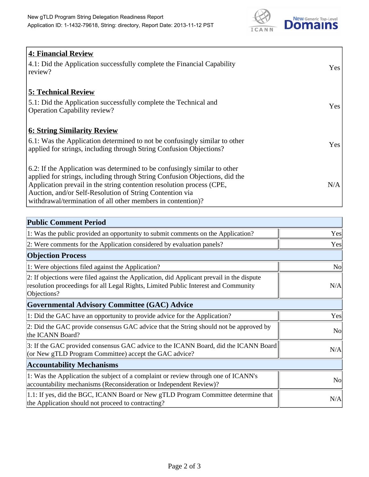

| <b>4: Financial Review</b><br>4.1: Did the Application successfully complete the Financial Capability<br>review?                                                                                                                                                                                                                                             | Yes |
|--------------------------------------------------------------------------------------------------------------------------------------------------------------------------------------------------------------------------------------------------------------------------------------------------------------------------------------------------------------|-----|
| <b>5: Technical Review</b><br>5.1: Did the Application successfully complete the Technical and<br><b>Operation Capability review?</b>                                                                                                                                                                                                                        | Yes |
| <u><b>6: String Similarity Review</b></u><br>6.1: Was the Application determined to not be confusingly similar to other<br>applied for strings, including through String Confusion Objections?                                                                                                                                                               | Yes |
| 6.2: If the Application was determined to be confusingly similar to other<br>applied for strings, including through String Confusion Objections, did the<br>Application prevail in the string contention resolution process (CPE,<br>Auction, and/or Self-Resolution of String Contention via<br>withdrawal/termination of all other members in contention)? | N/A |

| <b>Public Comment Period</b>                                                                                                                                                                   |                |
|------------------------------------------------------------------------------------------------------------------------------------------------------------------------------------------------|----------------|
| 1: Was the public provided an opportunity to submit comments on the Application?                                                                                                               | Yes            |
| 2: Were comments for the Application considered by evaluation panels?                                                                                                                          | Yes            |
| <b>Objection Process</b>                                                                                                                                                                       |                |
| 1: Were objections filed against the Application?                                                                                                                                              | N <sub>0</sub> |
| 2: If objections were filed against the Application, did Applicant prevail in the dispute<br>resolution proceedings for all Legal Rights, Limited Public Interest and Community<br>Objections? | N/A            |
| <b>Governmental Advisory Committee (GAC) Advice</b>                                                                                                                                            |                |
| 1: Did the GAC have an opportunity to provide advice for the Application?                                                                                                                      | Yes            |
| 2: Did the GAC provide consensus GAC advice that the String should not be approved by<br>the ICANN Board?                                                                                      | N <sub>o</sub> |
| 3: If the GAC provided consensus GAC advice to the ICANN Board, did the ICANN Board<br>(or New gTLD Program Committee) accept the GAC advice?                                                  | N/A            |
| <b>Accountability Mechanisms</b>                                                                                                                                                               |                |
| 1: Was the Application the subject of a complaint or review through one of ICANN's<br>accountability mechanisms (Reconsideration or Independent Review)?                                       | N <sub>o</sub> |
| 1.1: If yes, did the BGC, ICANN Board or New gTLD Program Committee determine that<br>the Application should not proceed to contracting?                                                       | N/A            |